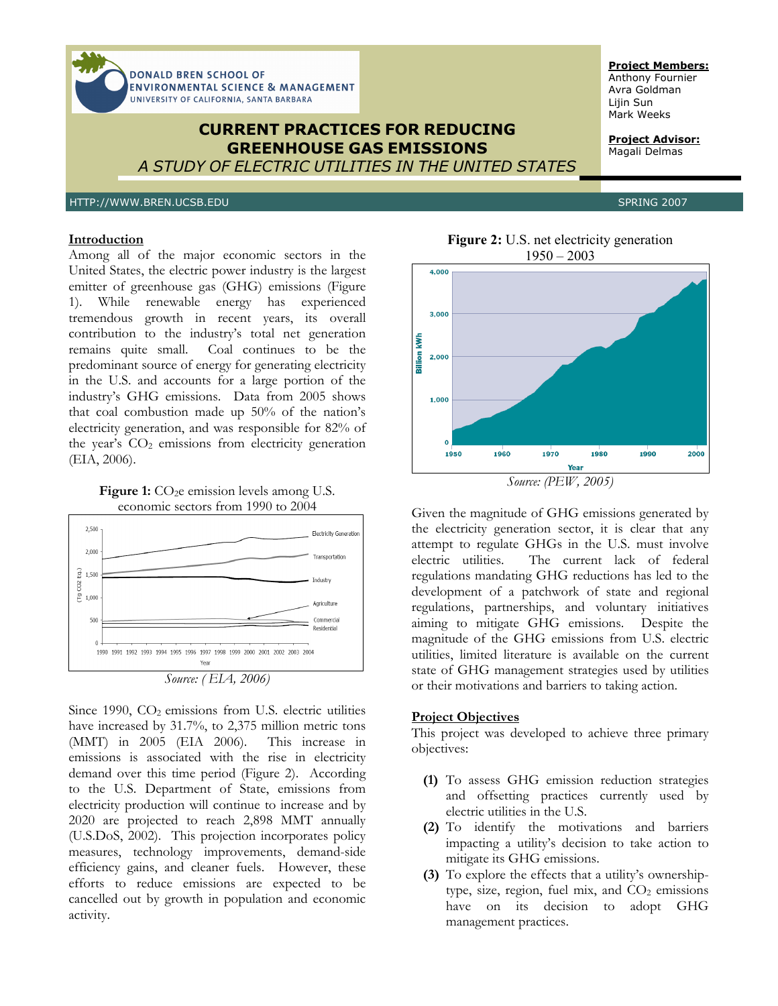

# **Introduction**

Among all of the major economic sectors in the United States, the electric power industry is the largest emitter of greenhouse gas (GHG) emissions (Figure 1). While renewable energy has experienced tremendous growth in recent years, its overall contribution to the industry's total net generation remains quite small. Coal continues to be the predominant source of energy for generating electricity in the U.S. and accounts for a large portion of the industry's GHG emissions. Data from 2005 shows that coal combustion made up 50% of the nation's electricity generation, and was responsible for 82% of the year's  $CO<sub>2</sub>$  emissions from electricity generation (EIA, 2006).





Since 1990,  $CO<sub>2</sub>$  emissions from U.S. electric utilities have increased by 31.7%, to 2,375 million metric tons (MMT) in 2005 (EIA 2006). This increase in emissions is associated with the rise in electricity demand over this time period (Figure 2). According to the U.S. Department of State, emissions from electricity production will continue to increase and by 2020 are projected to reach 2,898 MMT annually (U.S.DoS, 2002). This projection incorporates policy measures, technology improvements, demand-side efficiency gains, and cleaner fuels. However, these efforts to reduce emissions are expected to be cancelled out by growth in population and economic activity.

**Figure 2:** U.S. net electricity generation  $1950 - 2003$ 



*Source: (PEW, 2005)* 

Given the magnitude of GHG emissions generated by the electricity generation sector, it is clear that any attempt to regulate GHGs in the U.S. must involve electric utilities. The current lack of federal regulations mandating GHG reductions has led to the development of a patchwork of state and regional regulations, partnerships, and voluntary initiatives aiming to mitigate GHG emissions. Despite the magnitude of the GHG emissions from U.S. electric utilities, limited literature is available on the current state of GHG management strategies used by utilities or their motivations and barriers to taking action.

## **Project Objectives**

This project was developed to achieve three primary objectives:

- **(1)** To assess GHG emission reduction strategies and offsetting practices currently used by electric utilities in the U.S.
- **(2)** To identify the motivations and barriers impacting a utility's decision to take action to mitigate its GHG emissions.
- **(3)** To explore the effects that a utility's ownershiptype, size, region, fuel mix, and  $CO<sub>2</sub>$  emissions have on its decision to adopt GHG management practices.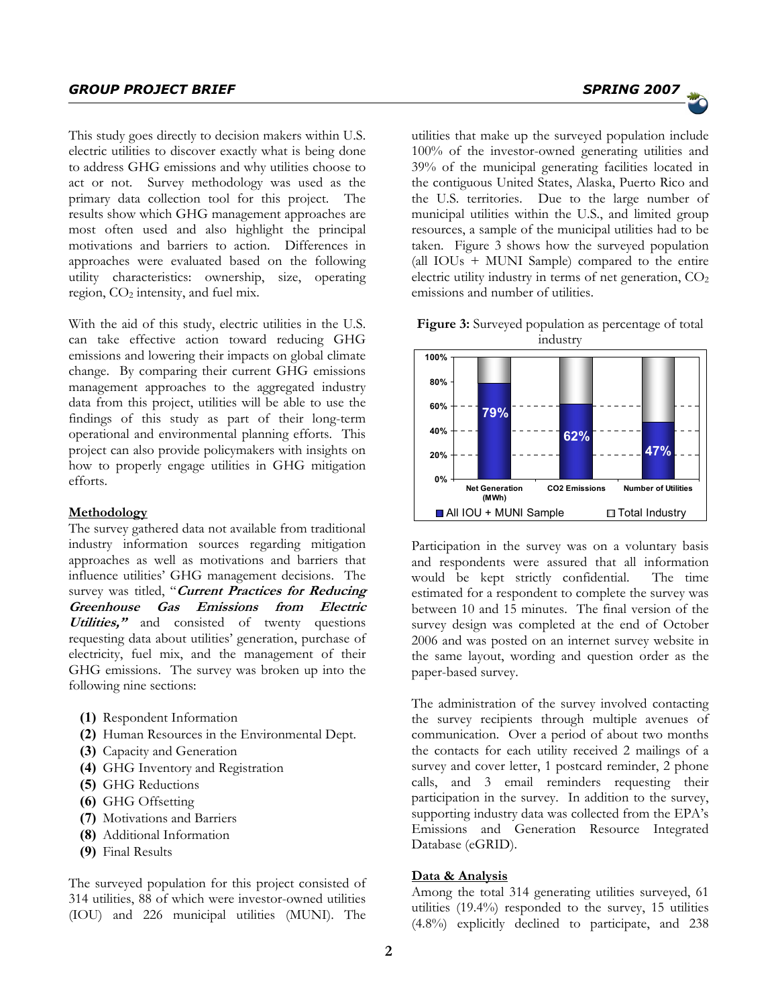This study goes directly to decision makers within U.S. electric utilities to discover exactly what is being done to address GHG emissions and why utilities choose to act or not. Survey methodology was used as the primary data collection tool for this project. The results show which GHG management approaches are most often used and also highlight the principal motivations and barriers to action. Differences in approaches were evaluated based on the following utility characteristics: ownership, size, operating region, CO<sub>2</sub> intensity, and fuel mix.

With the aid of this study, electric utilities in the U.S. can take effective action toward reducing GHG emissions and lowering their impacts on global climate change. By comparing their current GHG emissions management approaches to the aggregated industry data from this project, utilities will be able to use the findings of this study as part of their long-term operational and environmental planning efforts. This project can also provide policymakers with insights on how to properly engage utilities in GHG mitigation efforts.

# **Methodology**

The survey gathered data not available from traditional industry information sources regarding mitigation approaches as well as motivations and barriers that influence utilities' GHG management decisions. The survey was titled, "**Current Practices for Reducing Greenhouse Gas Emissions from Electric Utilities,"** and consisted of twenty questions requesting data about utilities' generation, purchase of electricity, fuel mix, and the management of their GHG emissions. The survey was broken up into the following nine sections:

- **(1)** Respondent Information
- **(2)** Human Resources in the Environmental Dept.
- **(3)** Capacity and Generation
- **(4)** GHG Inventory and Registration
- **(5)** GHG Reductions
- **(6)** GHG Offsetting
- **(7)** Motivations and Barriers
- **(8)** Additional Information
- **(9)** Final Results

The surveyed population for this project consisted of 314 utilities, 88 of which were investor-owned utilities (IOU) and 226 municipal utilities (MUNI). The

utilities that make up the surveyed population include 100% of the investor-owned generating utilities and 39% of the municipal generating facilities located in the contiguous United States, Alaska, Puerto Rico and the U.S. territories. Due to the large number of municipal utilities within the U.S., and limited group resources, a sample of the municipal utilities had to be taken. Figure 3 shows how the surveyed population (all IOUs + MUNI Sample) compared to the entire electric utility industry in terms of net generation,  $CO<sub>2</sub>$ 

**Figure 3:** Surveyed population as percentage of total industry

emissions and number of utilities.



Participation in the survey was on a voluntary basis and respondents were assured that all information would be kept strictly confidential. The time estimated for a respondent to complete the survey was between 10 and 15 minutes. The final version of the survey design was completed at the end of October 2006 and was posted on an internet survey website in the same layout, wording and question order as the paper-based survey.

The administration of the survey involved contacting the survey recipients through multiple avenues of communication. Over a period of about two months the contacts for each utility received 2 mailings of a survey and cover letter, 1 postcard reminder, 2 phone calls, and 3 email reminders requesting their participation in the survey. In addition to the survey, supporting industry data was collected from the EPA's Emissions and Generation Resource Integrated Database (eGRID).

#### **Data & Analysis**

Among the total 314 generating utilities surveyed, 61 utilities (19.4%) responded to the survey, 15 utilities (4.8%) explicitly declined to participate, and 238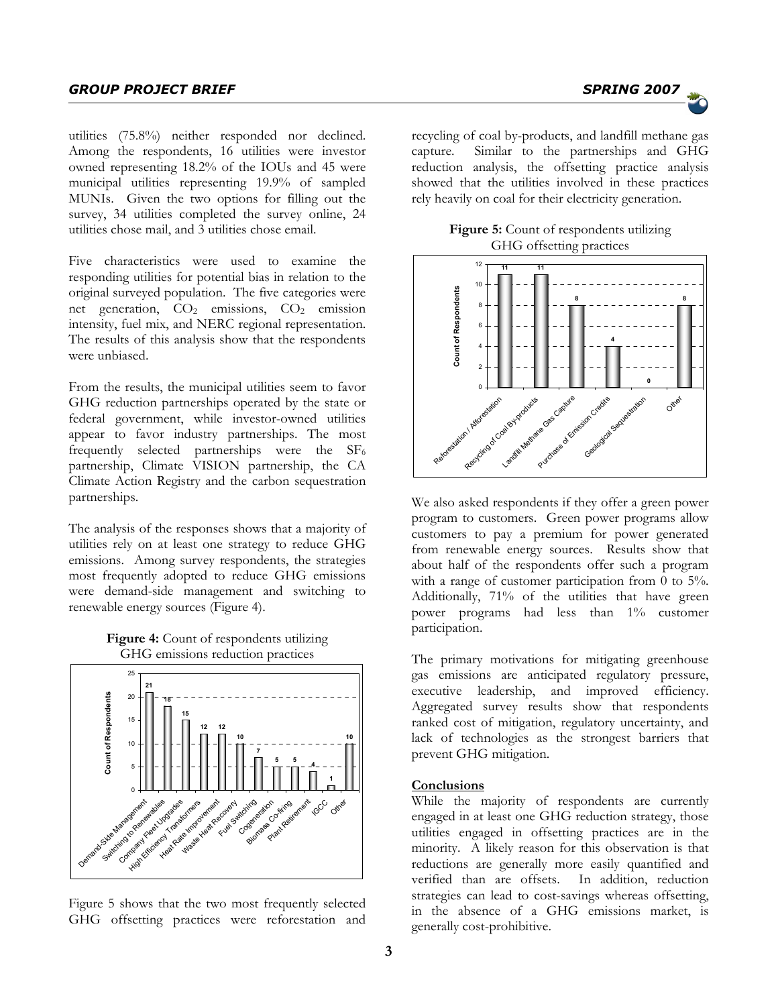utilities (75.8%) neither responded nor declined. Among the respondents, 16 utilities were investor owned representing 18.2% of the IOUs and 45 were municipal utilities representing 19.9% of sampled MUNIs. Given the two options for filling out the survey, 34 utilities completed the survey online, 24 utilities chose mail, and 3 utilities chose email.

Five characteristics were used to examine the responding utilities for potential bias in relation to the original surveyed population. The five categories were net generation, CO<sub>2</sub> emissions, CO<sub>2</sub> emission intensity, fuel mix, and NERC regional representation. The results of this analysis show that the respondents were unbiased.

From the results, the municipal utilities seem to favor GHG reduction partnerships operated by the state or federal government, while investor-owned utilities appear to favor industry partnerships. The most frequently selected partnerships were the  $SF<sub>6</sub>$ partnership, Climate VISION partnership, the CA Climate Action Registry and the carbon sequestration partnerships.

The analysis of the responses shows that a majority of utilities rely on at least one strategy to reduce GHG emissions. Among survey respondents, the strategies most frequently adopted to reduce GHG emissions were demand-side management and switching to renewable energy sources (Figure 4).

**Figure 4:** Count of respondents utilizing GHG emissions reduction practices



Figure 5 shows that the two most frequently selected GHG offsetting practices were reforestation and

recycling of coal by-products, and landfill methane gas capture. Similar to the partnerships and GHG reduction analysis, the offsetting practice analysis showed that the utilities involved in these practices rely heavily on coal for their electricity generation.

| <b>Figure 5:</b> Count of respondents utilizing |
|-------------------------------------------------|
| GHG offsetting practices                        |



We also asked respondents if they offer a green power program to customers. Green power programs allow customers to pay a premium for power generated from renewable energy sources. Results show that about half of the respondents offer such a program with a range of customer participation from  $0$  to  $5\%$ . Additionally, 71% of the utilities that have green power programs had less than 1% customer participation.

The primary motivations for mitigating greenhouse gas emissions are anticipated regulatory pressure, executive leadership, and improved efficiency. Aggregated survey results show that respondents ranked cost of mitigation, regulatory uncertainty, and lack of technologies as the strongest barriers that prevent GHG mitigation.

# **Conclusions**

While the majority of respondents are currently engaged in at least one GHG reduction strategy, those utilities engaged in offsetting practices are in the minority. A likely reason for this observation is that reductions are generally more easily quantified and verified than are offsets. In addition, reduction strategies can lead to cost-savings whereas offsetting, in the absence of a GHG emissions market, is generally cost-prohibitive.